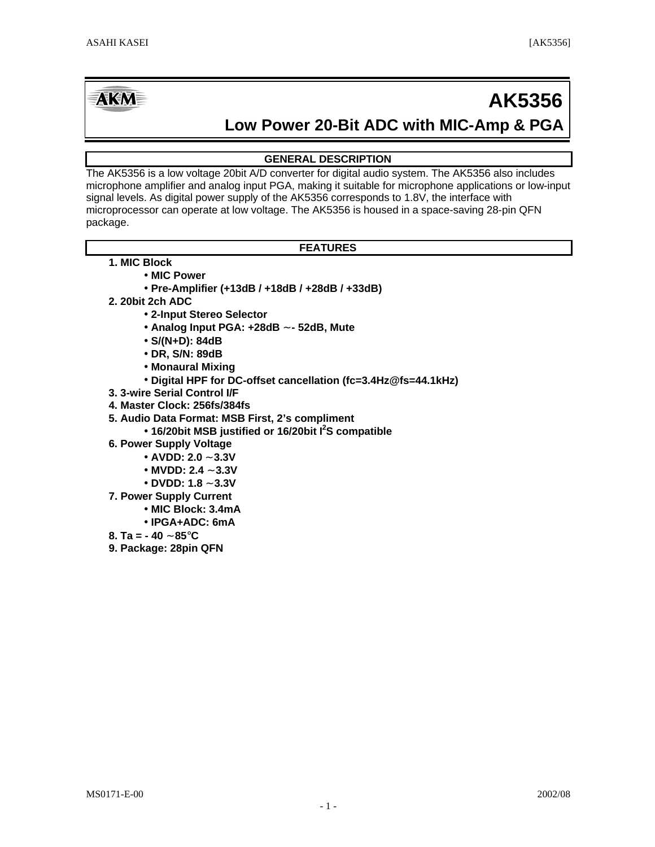# **AKM**

# **AK5356**

# **Low Power 20-Bit ADC with MIC-Amp & PGA**

## **GENERAL DESCRIPTION**

The AK5356 is a low voltage 20bit A/D converter for digital audio system. The AK5356 also includes microphone amplifier and analog input PGA, making it suitable for microphone applications or low-input signal levels. As digital power supply of the AK5356 corresponds to 1.8V, the interface with microprocessor can operate at low voltage. The AK5356 is housed in a space-saving 28-pin QFN package.

### **FEATURES**

- **1. MIC Block**
	- **· MIC Power**
		- **· Pre-Amplifier (+13dB / +18dB / +28dB / +33dB)**
- **2. 20bit 2ch ADC**
	- **· 2-Input Stereo Selector**
	- **· Analog Input PGA: +28dB ~ 52dB, Mute**
	- **· S/(N+D): 84dB**
	- **· DR, S/N: 89dB**
	- **· Monaural Mixing**
	- **· Digital HPF for DC-offset cancellation (fc=3.4Hz@fs=44.1kHz)**
- **3. 3-wire Serial Control I/F**
- **4. Master Clock: 256fs/384fs**
- **5. Audio Data Format: MSB First, 2's compliment**
	- **· 16/20bit MSB justified or 16/20bit I<sup>2</sup>S compatible**
- **6. Power Supply Voltage**
	- **· AVDD: 2.0 ~ 3.3V**
	- **· MVDD: 2.4 ~ 3.3V**
	- **· DVDD: 1.8 ~ 3.3V**
- **7. Power Supply Current**
	- **· MIC Block: 3.4mA**
	- **· IPGA+ADC: 6mA**
- **8. Ta = 40 ~ 85°C**
- **9. Package: 28pin QFN**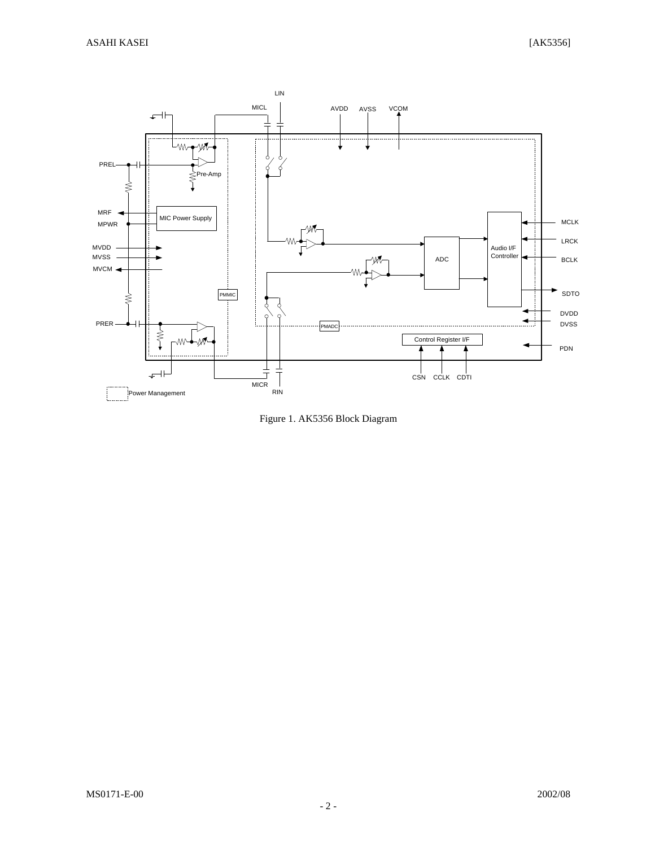

Figure 1. AK5356 Block Diagram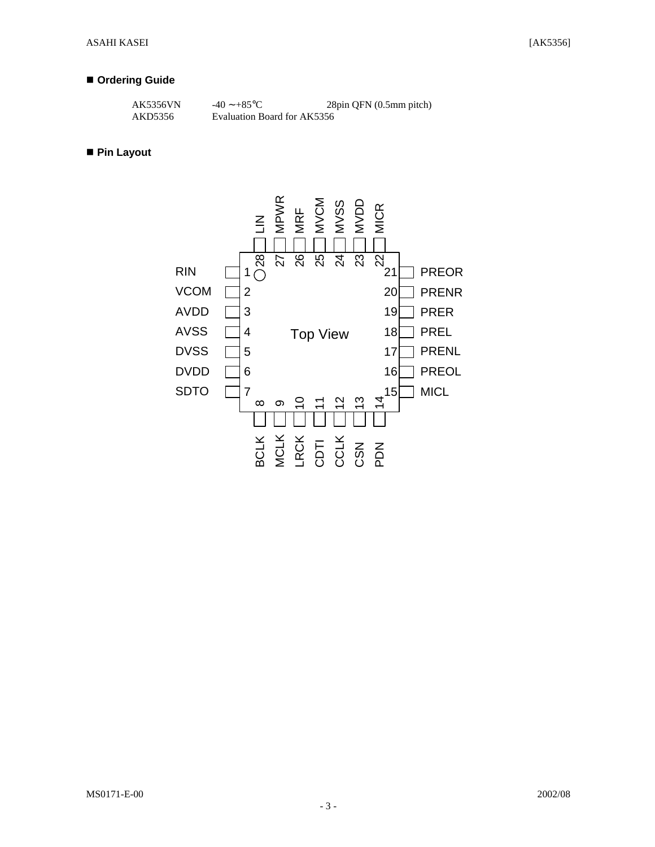#### **n** Ordering Guide

| AK5356VN | $-40 \sim +85$ °C           | 28pin QFN (0.5mm pitch) |
|----------|-----------------------------|-------------------------|
| AKD5356  | Evaluation Board for AK5356 |                         |

#### ■ Pin Layout

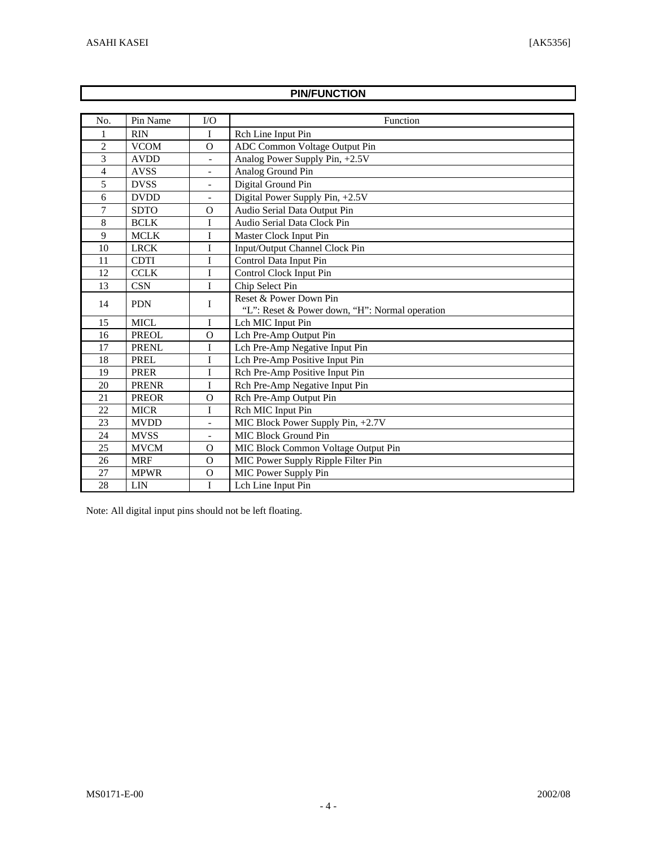$\Gamma$ 

|                          |              |                          | <b>PIN/FUNCTION</b>                            |
|--------------------------|--------------|--------------------------|------------------------------------------------|
|                          |              |                          |                                                |
| No.                      | Pin Name     | $\rm LO$                 | Function                                       |
|                          | <b>RIN</b>   | I                        | Rch Line Input Pin                             |
| 2                        | <b>VCOM</b>  | $\Omega$                 | ADC Common Voltage Output Pin                  |
| 3                        | <b>AVDD</b>  | $\overline{a}$           | Analog Power Supply Pin, +2.5V                 |
| $\overline{\mathcal{L}}$ | <b>AVSS</b>  | $\blacksquare$           | Analog Ground Pin                              |
| 5                        | <b>DVSS</b>  | $\overline{\phantom{a}}$ | Digital Ground Pin                             |
| 6                        | <b>DVDD</b>  | $\overline{\phantom{a}}$ | Digital Power Supply Pin, +2.5V                |
| 7                        | <b>SDTO</b>  | $\Omega$                 | Audio Serial Data Output Pin                   |
| 8                        | <b>BCLK</b>  | I                        | Audio Serial Data Clock Pin                    |
| 9                        | <b>MCLK</b>  | <sup>T</sup>             | Master Clock Input Pin                         |
| 10                       | <b>LRCK</b>  | I                        | Input/Output Channel Clock Pin                 |
| 11                       | <b>CDTI</b>  | I                        | Control Data Input Pin                         |
| 12                       | <b>CCLK</b>  | $\rm I$                  | Control Clock Input Pin                        |
| 13                       | <b>CSN</b>   | I                        | Chip Select Pin                                |
| 14                       | <b>PDN</b>   | I                        | Reset & Power Down Pin                         |
|                          |              |                          | "L": Reset & Power down, "H": Normal operation |
| 15                       | <b>MICL</b>  | I                        | Lch MIC Input Pin                              |
| 16                       | <b>PREOL</b> | $\overline{O}$           | Lch Pre-Amp Output Pin                         |
| 17                       | PRENL        | I                        | Lch Pre-Amp Negative Input Pin                 |
| 18                       | <b>PREL</b>  | $\rm I$                  | Lch Pre-Amp Positive Input Pin                 |
| 19                       | <b>PRER</b>  | $\rm I$                  | Rch Pre-Amp Positive Input Pin                 |
| 20                       | <b>PRENR</b> | I                        | Rch Pre-Amp Negative Input Pin                 |
| 21                       | <b>PREOR</b> | $\mathbf O$              | Rch Pre-Amp Output Pin                         |
| 22                       | <b>MICR</b>  | I                        | Rch MIC Input Pin                              |
| 23                       | <b>MVDD</b>  | $\overline{\phantom{a}}$ | MIC Block Power Supply Pin, +2.7V              |
| 24                       | <b>MVSS</b>  | $\overline{\phantom{a}}$ | MIC Block Ground Pin                           |
| 25                       | <b>MVCM</b>  | $\mathbf O$              | MIC Block Common Voltage Output Pin            |
| 26                       | <b>MRF</b>   | $\Omega$                 | MIC Power Supply Ripple Filter Pin             |
| 27                       | <b>MPWR</b>  | $\Omega$                 | MIC Power Supply Pin                           |
| 28                       | <b>LIN</b>   | I                        | Lch Line Input Pin                             |

Note: All digital input pins should not be left floating.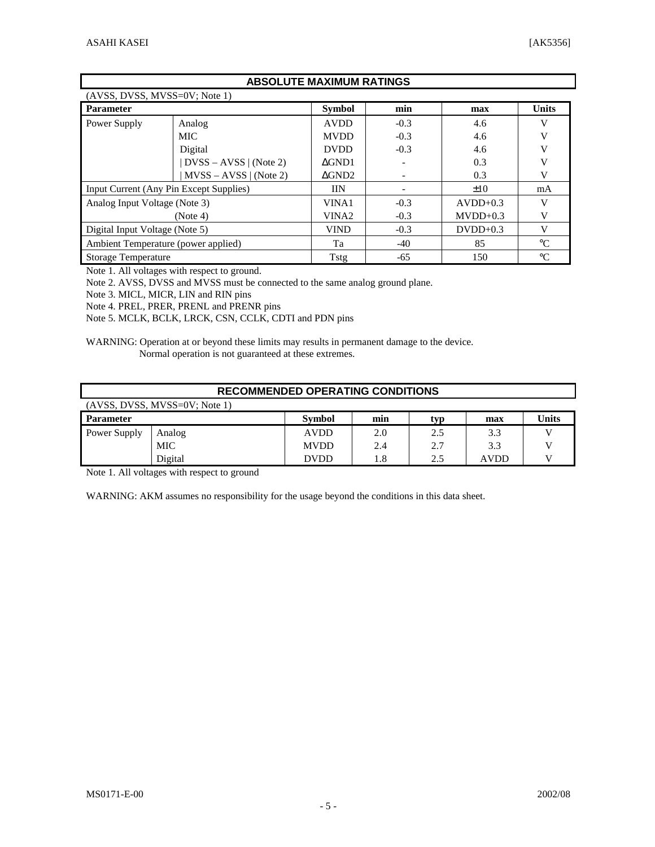Г

|                                     |                                         | <b>ABSOLUTE MAXIMUM RATINGS</b> |        |            |                 |  |  |  |  |
|-------------------------------------|-----------------------------------------|---------------------------------|--------|------------|-----------------|--|--|--|--|
| $(AVSS, DVSS, MVSS=0V; Note 1)$     |                                         |                                 |        |            |                 |  |  |  |  |
| <b>Parameter</b>                    |                                         | <b>Symbol</b>                   | min    | max        | <b>Units</b>    |  |  |  |  |
| Power Supply                        | Analog                                  | <b>AVDD</b>                     | $-0.3$ | 4.6        | V               |  |  |  |  |
|                                     | MIC.                                    | <b>MVDD</b>                     | $-0.3$ | 4.6        | V               |  |  |  |  |
|                                     | Digital                                 | <b>DVDD</b>                     | $-0.3$ | 4.6        | v               |  |  |  |  |
|                                     | $DVSS - AVSS$   (Note 2)                | $\triangle$ GND1                |        | 0.3        | V               |  |  |  |  |
|                                     | $MVSS - AVSS   (Note 2)$                | AGND2                           |        | 0.3        | V               |  |  |  |  |
|                                     | Input Current (Any Pin Except Supplies) | <b>IIN</b>                      |        | $\pm 10$   | mA              |  |  |  |  |
| Analog Input Voltage (Note 3)       |                                         | VINA1                           | $-0.3$ | $AVDD+0.3$ | V               |  |  |  |  |
|                                     | (Note 4)                                | VINA <sub>2</sub>               | $-0.3$ | $MVDD+0.3$ | V               |  |  |  |  |
| Digital Input Voltage (Note 5)      |                                         | <b>VIND</b>                     | $-0.3$ | $DVDD+0.3$ | V               |  |  |  |  |
| Ambient Temperature (power applied) |                                         | Ta                              | $-40$  | 85         | $^{\circ}C$     |  |  |  |  |
| <b>Storage Temperature</b>          |                                         | Tstg                            | $-65$  | 150        | $\rm ^{\circ}C$ |  |  |  |  |

Note 1. All voltages with respect to ground.

Note 2. AVSS, DVSS and MVSS must be connected to the same analog ground plane.

Note 3. MICL, MICR, LIN and RIN pins

Note 4. PREL, PRER, PRENL and PRENR pins

Note 5. MCLK, BCLK, LRCK, CSN, CCLK, CDTI and PDN pins

WARNING: Operation at or beyond these limits may results in permanent damage to the device. Normal operation is not guaranteed at these extremes.

|                  | <b>RECOMMENDED OPERATING CONDITIONS</b> |               |     |     |             |       |  |  |  |
|------------------|-----------------------------------------|---------------|-----|-----|-------------|-------|--|--|--|
|                  | (AVSS, DVSS, MVSS=0V; Note 1)           |               |     |     |             |       |  |  |  |
| <b>Parameter</b> |                                         | <b>Symbol</b> | min | typ | max         | Units |  |  |  |
| Power Supply     | Analog                                  | <b>AVDD</b>   | 2.0 | 2.5 | 3.3         |       |  |  |  |
|                  | <b>MIC</b>                              | <b>MVDD</b>   | 2.4 | 2.7 | 3.3         |       |  |  |  |
|                  | Digital                                 | <b>DVDD</b>   | 1.8 | 2.5 | <b>AVDD</b> |       |  |  |  |

Note 1. All voltages with respect to ground

WARNING: AKM assumes no responsibility for the usage beyond the conditions in this data sheet.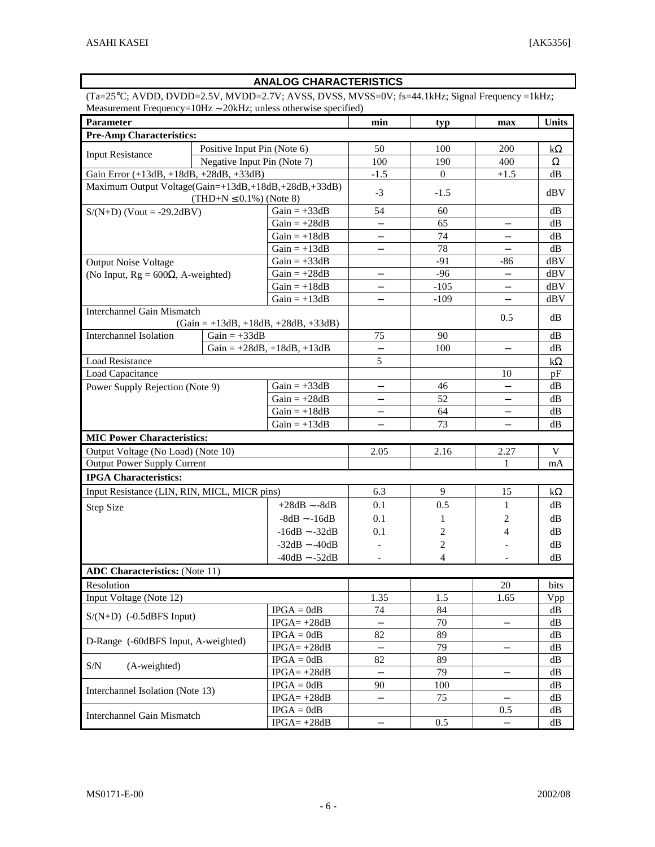# **ANALOG CHARACTERISTICS**

(Ta=25°C; AVDD, DVDD=2.5V, MVDD=2.7V; AVSS, DVSS, MVSS=0V; fs=44.1kHz; Signal Frequency =1kHz; Measurement Frequency=10Hz ∼ 20kHz; unless otherwise specified)

| Parameter                                            | min                          | typ                                   | max                      | Units          |                          |           |
|------------------------------------------------------|------------------------------|---------------------------------------|--------------------------|----------------|--------------------------|-----------|
| <b>Pre-Amp Characteristics:</b>                      |                              |                                       |                          |                |                          |           |
| <b>Input Resistance</b>                              | Positive Input Pin (Note 6)  |                                       | 50                       | 100            | 200                      | $k\Omega$ |
|                                                      | Negative Input Pin (Note 7)  |                                       | 100                      | 190            | 400                      | $\Omega$  |
| Gain Error (+13dB, +18dB, +28dB, +33dB)              |                              |                                       | $-1.5$                   | $\overline{0}$ | $+1.5$                   | dB        |
| Maximum Output Voltage(Gain=+13dB,+18dB,+28dB,+33dB) |                              |                                       | $-3$                     | $-1.5$         |                          | dBV       |
|                                                      | $(THD+N \le 0.1\%)$ (Note 8) |                                       |                          |                |                          |           |
| $S/(N+D)$ (Vout = -29.2dBV)                          |                              | Gain $= +33dB$                        | 54                       | 60             |                          | dB        |
|                                                      |                              | $Gain = +28dB$                        | $\overline{\phantom{0}}$ | 65             | $\qquad \qquad -$        | dB        |
|                                                      |                              | $Gain = +18dB$                        | —                        | 74             | $\qquad \qquad -$        | dB        |
|                                                      |                              | $Gain = +13dB$                        | $\overline{\phantom{0}}$ | 78             |                          | dB        |
| <b>Output Noise Voltage</b>                          |                              | $Gain = +33dB$                        |                          | $-91$          | $-86$                    | dBV       |
| (No Input, $Rg = 600\Omega$ , A-weighted)            |                              | $Gain = +28dB$                        | $\overline{\phantom{0}}$ | $-96$          | $\qquad \qquad -$        | dBV       |
|                                                      |                              | $Gain = +18dB$                        | $\overline{\phantom{0}}$ | $-105$         | $\qquad \qquad -$        | dBV       |
|                                                      |                              | $Gain = +13dB$                        | $\equiv$                 | $-109$         | $\equiv$                 | dBV       |
| <b>Interchannel Gain Mismatch</b>                    |                              |                                       |                          |                | 0.5                      | dВ        |
|                                                      |                              | $(Gain = +13dB, +18dB, +28dB, +33dB)$ |                          |                |                          |           |
| <b>Interchannel Isolation</b>                        | $Gain = +33dB$               |                                       | 75                       | 90             |                          | dB        |
|                                                      |                              | Gain = $+28dB$ , $+18dB$ , $+13dB$    | $\equiv$                 | 100            | $\qquad \qquad -$        | dB        |
| Load Resistance                                      |                              |                                       | 5                        |                |                          | $k\Omega$ |
| Load Capacitance                                     |                              |                                       |                          |                | 10                       | pF        |
| Power Supply Rejection (Note 9)                      |                              | $Gain = +33dB$                        | $\overline{\phantom{0}}$ | 46             | $\overline{\phantom{0}}$ | dB        |
|                                                      |                              | $Gain = +28dB$                        | $\qquad \qquad -$        | 52             | $\qquad \qquad -$        | dB        |
|                                                      |                              | $Gain = +18dB$                        | —                        | 64             | $\qquad \qquad -$        | dB        |
|                                                      |                              | $Gain = +13dB$                        | $\equiv$                 | 73             | $\qquad \qquad -$        | dB        |
| <b>MIC Power Characteristics:</b>                    |                              |                                       |                          |                |                          |           |
| Output Voltage (No Load) (Note 10)                   |                              |                                       | 2.05                     | 2.16           | 2.27                     | V         |
| <b>Output Power Supply Current</b>                   |                              |                                       |                          |                | 1                        | mA        |
| <b>IPGA Characteristics:</b>                         |                              |                                       |                          |                |                          |           |
| Input Resistance (LIN, RIN, MICL, MICR pins)         |                              |                                       | 6.3                      | 9              | 15                       | $k\Omega$ |
| Step Size                                            |                              | $+28dB$ $\sim$ -8dB                   | 0.1                      | 0.5            | $\mathbf{1}$             | dB        |
|                                                      |                              | $-8dB \sim -16dB$                     | 0.1                      | 1              | 2                        | dB        |
|                                                      |                              | $-16dB$ $\sim$ $-32dB$                | 0.1                      | 2              | 4                        | dB        |
|                                                      |                              | $-32dB$ $\sim$ $-40dB$                |                          | 2              |                          | dB        |
|                                                      |                              | $-40dB$ $\sim$ $-52dB$                |                          | 4              |                          | dB        |
| <b>ADC Characteristics:</b> (Note 11)                |                              |                                       |                          |                |                          |           |
| Resolution                                           |                              |                                       |                          |                | 20                       | bits      |
| Input Voltage (Note 12)                              |                              |                                       | 1.35                     | 1.5            | 1.65                     | Vpp       |
|                                                      |                              | $IPGA = 0dB$                          | 74                       | 84             |                          | dB        |
| $S/(N+D)$ (-0.5dBFS Input)                           |                              | $IPGA = +28dB$                        | $\overline{\phantom{0}}$ | 70             | $\qquad \qquad -$        | dB        |
|                                                      |                              | $IPGA = 0dB$                          | 82                       | 89             |                          | dB        |
| D-Range (-60dBFS Input, A-weighted)                  |                              | $IPGA = +28dB$                        |                          | 79             | $\qquad \qquad -$        | dB        |
|                                                      |                              | $IPGA = OdB$                          | 82                       | 89             |                          | dB        |
| $\ensuremath{\mathrm{S/N}}$<br>(A-weighted)          |                              | $IPGA = +28dB$                        |                          | 79             | $\qquad \qquad -$        | dB        |
|                                                      |                              | $IPGA = 0dB$                          | 90                       | 100            |                          | dB        |
| Interchannel Isolation (Note 13)                     |                              | $IPGA = +28dB$                        | $\equiv$                 | 75             |                          | dB        |
|                                                      |                              | $IPGA = 0dB$                          |                          |                | 0.5                      | dB        |
| <b>Interchannel Gain Mismatch</b>                    |                              | $IPGA = +28dB$                        |                          | 0.5            |                          | dB        |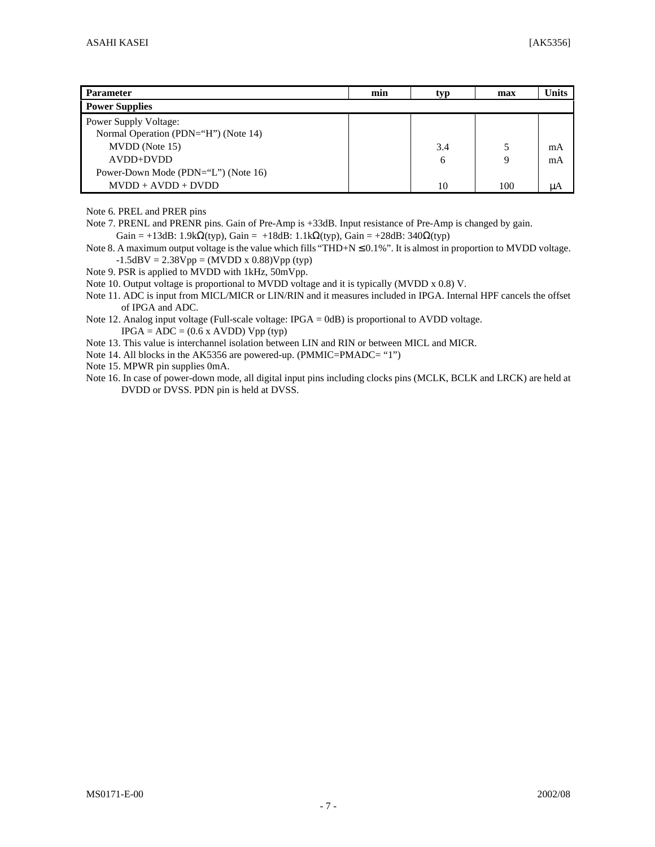| <b>Parameter</b>                     | min | tvp | max | <b>Units</b> |
|--------------------------------------|-----|-----|-----|--------------|
| <b>Power Supplies</b>                |     |     |     |              |
| <b>Power Supply Voltage:</b>         |     |     |     |              |
| Normal Operation (PDN="H") (Note 14) |     |     |     |              |
| MVDD (Note 15)                       |     | 3.4 |     | mA           |
| $AVDD+DVDD$                          |     | 6   | 9   | mA           |
| Power-Down Mode (PDN="L") (Note 16)  |     |     |     |              |
| $MVDD + AVDD + DVDD$                 |     | 10  | 100 | uA           |

Note 6. PREL and PRER pins

Note 7. PRENL and PRENR pins. Gain of Pre-Amp is +33dB. Input resistance of Pre-Amp is changed by gain. Gain = +13dB: 1.9k $\Omega$ (typ), Gain = +18dB: 1.1k $\Omega$ (typ), Gain = +28dB: 340 $\Omega$ (typ)

Note 8. A maximum output voltage is the value which fills "THD+N  $\leq$  0.1%". It is almost in proportion to MVDD voltage.  $-1.5$ dBV = 2.38Vpp = (MVDD x 0.88)Vpp (typ)

Note 9. PSR is applied to MVDD with 1kHz, 50mVpp.

Note 10. Output voltage is proportional to MVDD voltage and it is typically (MVDD x 0.8) V.

Note 11. ADC is input from MICL/MICR or LIN/RIN and it measures included in IPGA. Internal HPF cancels the offset of IPGA and ADC.

Note 12. Analog input voltage (Full-scale voltage: IPGA = 0dB) is proportional to AVDD voltage.  $IPGA = ADC = (0.6 \times AVDD) Vpp (typ)$ 

Note 13. This value is interchannel isolation between LIN and RIN or between MICL and MICR.

Note 14. All blocks in the AK5356 are powered-up. (PMMIC=PMADC= "1")

Note 15. MPWR pin supplies 0mA.

Note 16. In case of power-down mode, all digital input pins including clocks pins (MCLK, BCLK and LRCK) are held at DVDD or DVSS. PDN pin is held at DVSS.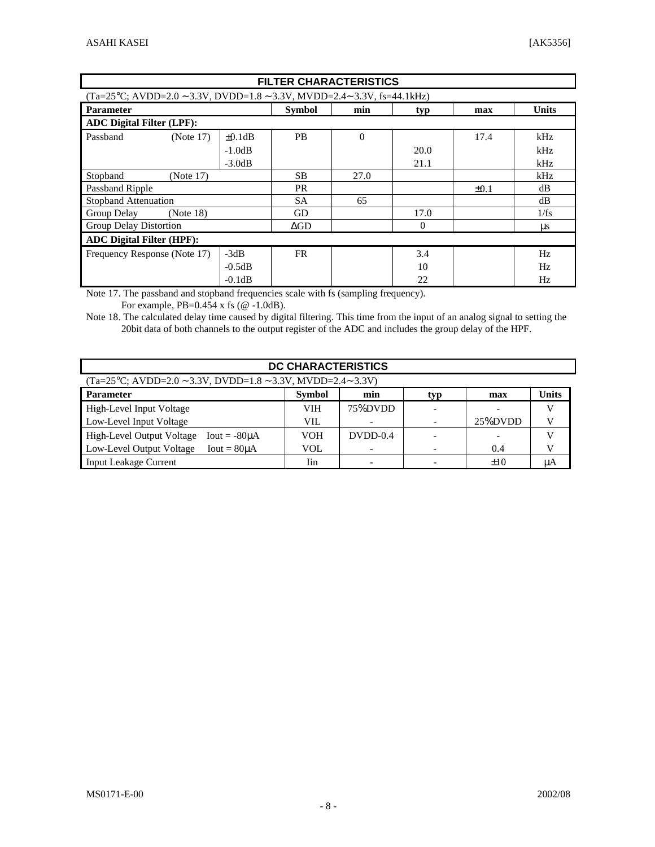|                                                                                            | <b>FILTER CHARACTERISTICS</b> |              |               |          |          |           |              |  |  |
|--------------------------------------------------------------------------------------------|-------------------------------|--------------|---------------|----------|----------|-----------|--------------|--|--|
| $(Ta=25^{\circ}C; AVDD=2.0 \sim 3.3V, DVDD=1.8 \sim 3.3V, MVDD=2.4 \sim 3.3V, fs=44.1kHz)$ |                               |              |               |          |          |           |              |  |  |
| <b>Parameter</b>                                                                           |                               |              | <b>Symbol</b> | min      | typ      | max       | <b>Units</b> |  |  |
| <b>ADC Digital Filter (LPF):</b>                                                           |                               |              |               |          |          |           |              |  |  |
| Passband                                                                                   | (Note 17)                     | $\pm 0.1$ dB | <b>PB</b>     | $\theta$ |          | 17.4      | kHz          |  |  |
|                                                                                            |                               | $-1.0dB$     |               |          | 20.0     |           | kHz          |  |  |
|                                                                                            |                               | $-3.0dB$     |               |          | 21.1     |           | kHz          |  |  |
| Stopband                                                                                   | (Note 17)                     |              | <b>SB</b>     | 27.0     |          |           | kHz          |  |  |
| Passband Ripple                                                                            |                               |              | <b>PR</b>     |          |          | $\pm 0.1$ | dB           |  |  |
| <b>Stopband Attenuation</b>                                                                |                               |              | <b>SA</b>     | 65       |          |           | dB           |  |  |
| Group Delay                                                                                | (Note 18)                     |              | <b>GD</b>     |          | 17.0     |           | 1/fs         |  |  |
| Group Delay Distortion                                                                     |                               |              | $\Delta GD$   |          | $\theta$ |           | $\mu$ s      |  |  |
| <b>ADC Digital Filter (HPF):</b>                                                           |                               |              |               |          |          |           |              |  |  |
| Frequency Response (Note 17)                                                               |                               | $-3dB$       | <b>FR</b>     |          | 3.4      |           | Hz           |  |  |
|                                                                                            |                               | $-0.5dB$     |               |          | 10       |           | Hz           |  |  |
|                                                                                            |                               | $-0.1dB$     |               |          | 22       |           | Hz           |  |  |

Note 17. The passband and stopband frequencies scale with fs (sampling frequency).

For example, PB=0.454 x fs (@ -1.0dB).

Note 18. The calculated delay time caused by digital filtering. This time from the input of an analog signal to setting the 20bit data of both channels to the output register of the ADC and includes the group delay of the HPF.

| DC CHARACTERISTICS                                                             |            |              |  |         |    |  |  |  |  |  |
|--------------------------------------------------------------------------------|------------|--------------|--|---------|----|--|--|--|--|--|
| $(Ta=25\degree C; AVDD=2.0 \sim 3.3V, DVDD=1.8 \sim 3.3V, MVDD=2.4 \sim 3.3V)$ |            |              |  |         |    |  |  |  |  |  |
| <b>Parameter</b>                                                               | max        | <b>Units</b> |  |         |    |  |  |  |  |  |
| High-Level Input Voltage                                                       | <b>VIH</b> | 75%DVDD      |  |         |    |  |  |  |  |  |
| Low-Level Input Voltage                                                        | <b>VIL</b> |              |  | 25%DVDD |    |  |  |  |  |  |
| High-Level Output Voltage<br>$Iout = -80\mu A$                                 | <b>VOH</b> | $DVDD-0.4$   |  |         |    |  |  |  |  |  |
| Low-Level Output Voltage<br>$Iout = 80\mu A$                                   | <b>VOL</b> |              |  | 0.4     |    |  |  |  |  |  |
| <b>Input Leakage Current</b>                                                   | Iin        |              |  | ±10     | μA |  |  |  |  |  |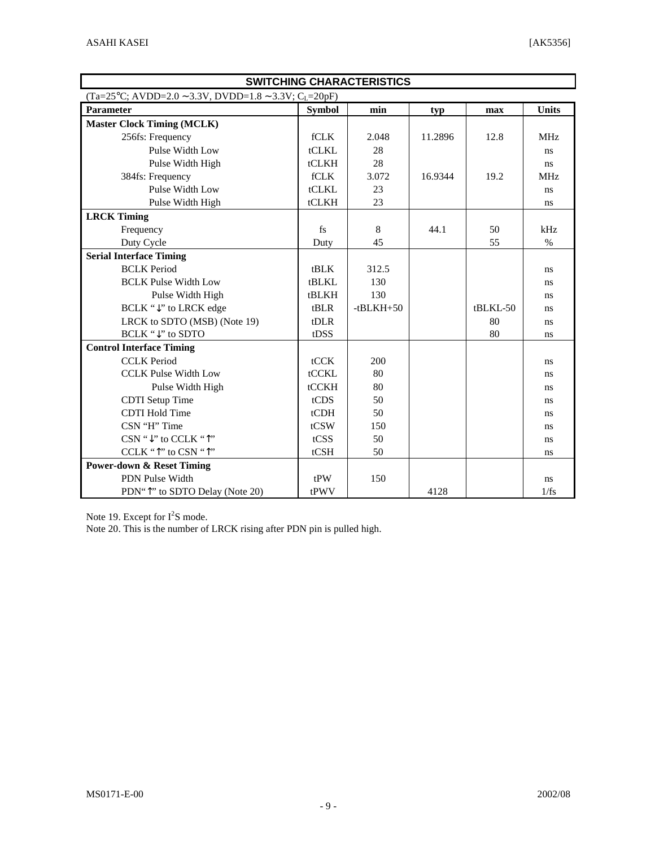| <b>SWITCHING CHARACTERISTICS</b>                                    |               |             |         |            |              |  |  |  |
|---------------------------------------------------------------------|---------------|-------------|---------|------------|--------------|--|--|--|
| $(Ta=25\degree C; AVDD=2.0 \sim 3.3V, DVD=1.8 \sim 3.3V; C_1=20pF)$ |               |             |         |            |              |  |  |  |
| Parameter                                                           | <b>Symbol</b> | min         | typ     | max        | <b>Units</b> |  |  |  |
| <b>Master Clock Timing (MCLK)</b>                                   |               |             |         |            |              |  |  |  |
| 256fs: Frequency                                                    | fCLK          | 2.048       | 11.2896 | 12.8       | <b>MHz</b>   |  |  |  |
| Pulse Width Low                                                     | tCLKL         | 28          |         |            | ns           |  |  |  |
| Pulse Width High                                                    | tCLKH         | 28          |         |            | ns.          |  |  |  |
| 384fs: Frequency                                                    | fCLK          | 3.072       | 16.9344 | 19.2       | <b>MHz</b>   |  |  |  |
| Pulse Width Low                                                     | tCLKL         | 23          |         |            | ns           |  |  |  |
| Pulse Width High                                                    | tCLKH         | 23          |         |            | ns           |  |  |  |
| <b>LRCK Timing</b>                                                  |               |             |         |            |              |  |  |  |
| Frequency                                                           | fs            | 8           | 44.1    | 50         | kHz          |  |  |  |
| Duty Cycle                                                          | Duty          | 45          |         | 55         | $\%$         |  |  |  |
| <b>Serial Interface Timing</b>                                      |               |             |         |            |              |  |  |  |
| <b>BCLK</b> Period                                                  | tBLK          | 312.5       |         |            | ns.          |  |  |  |
| <b>BCLK Pulse Width Low</b>                                         | tBLKL         | 130         |         |            | ns           |  |  |  |
| Pulse Width High                                                    | <b>tBLKH</b>  | 130         |         |            | ns           |  |  |  |
| BCLK "↓" to LRCK edge                                               | tBLR          | $-tBLKH+50$ |         | $tBLKL-50$ | ns.          |  |  |  |
| LRCK to SDTO (MSB) (Note 19)                                        | tDLR          |             |         | 80         | ns.          |  |  |  |
| BCLK "↓" to SDTO                                                    | tDSS          |             |         | 80         | ns.          |  |  |  |
| <b>Control Interface Timing</b>                                     |               |             |         |            |              |  |  |  |
| <b>CCLK</b> Period                                                  | tCCK          | 200         |         |            | ns.          |  |  |  |
| <b>CCLK Pulse Width Low</b>                                         | tCCKL         | 80          |         |            | ns.          |  |  |  |
| Pulse Width High                                                    | tCCKH         | 80          |         |            | ns.          |  |  |  |
| <b>CDTI</b> Setup Time                                              | tCDS          | 50          |         |            | ns.          |  |  |  |
| <b>CDTI Hold Time</b>                                               | tCDH          | 50          |         |            | ns.          |  |  |  |
| CSN "H" Time                                                        | tCSW          | 150         |         |            | ns.          |  |  |  |
| $CSN$ " $\downarrow$ " to CCLK " $\uparrow$ "                       | tCSS          | 50          |         |            | ns.          |  |  |  |
| CCLK "^" to CSN "^"                                                 | tCSH          | 50          |         |            | ns           |  |  |  |
| <b>Power-down &amp; Reset Timing</b>                                |               |             |         |            |              |  |  |  |
| PDN Pulse Width                                                     | tPW           | 150         |         |            | ns.          |  |  |  |
| PDN" <sup>1</sup> " to SDTO Delay (Note 20)                         | tPWV          |             | 4128    |            | 1/fs         |  |  |  |

Note 19. Except for  $I^2S$  mode.

Note 20. This is the number of LRCK rising after PDN pin is pulled high.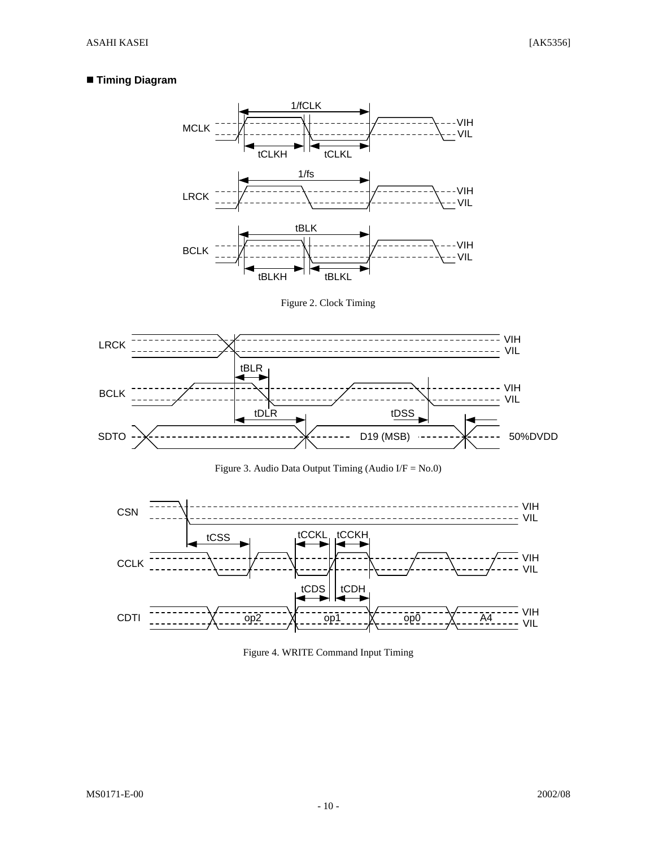## n **Timing Diagram**



Figure 2. Clock Timing







Figure 4. WRITE Command Input Timing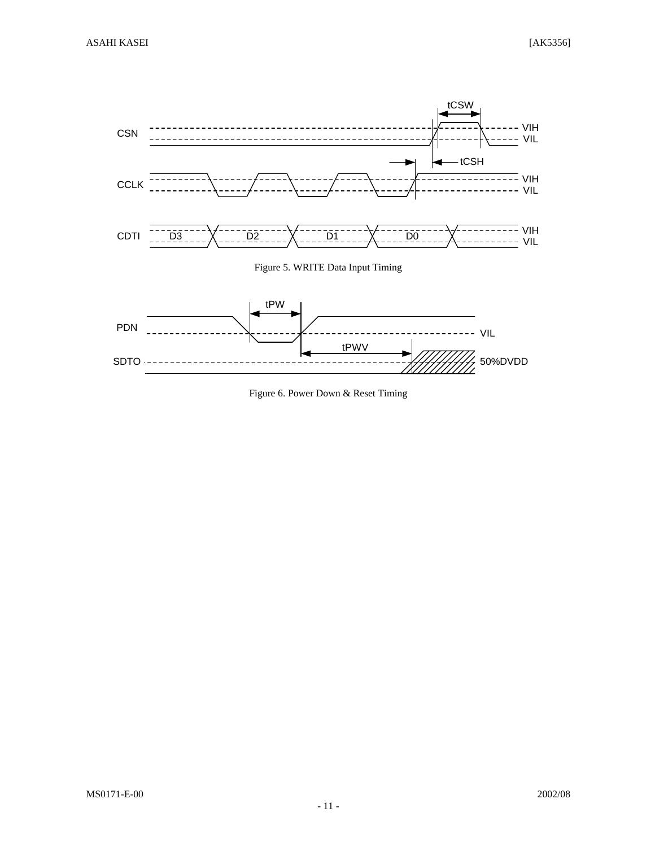

Figure 6. Power Down & Reset Timing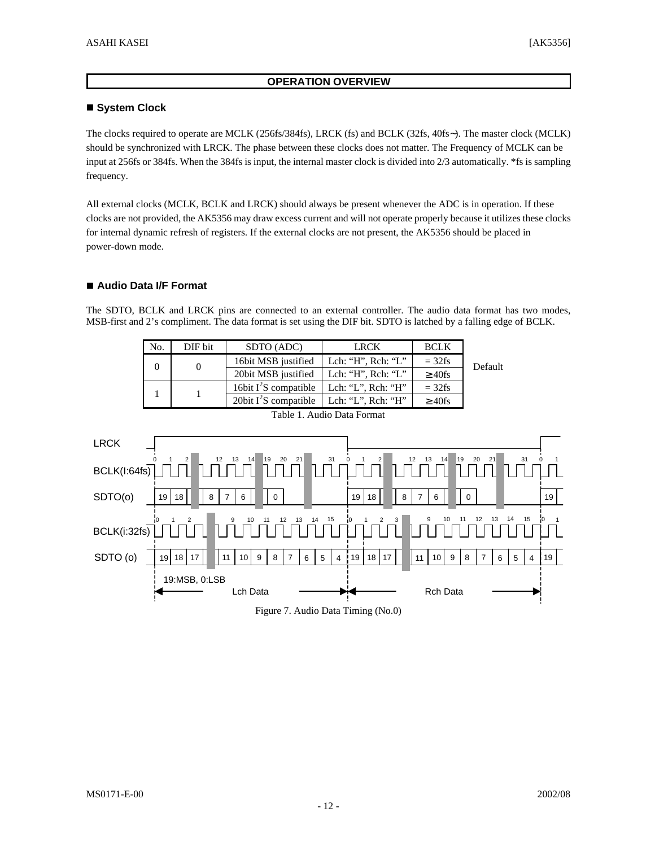#### **OPERATION OVERVIEW**

#### ■ System Clock

The clocks required to operate are MCLK (256fs/384fs), LRCK (fs) and BCLK (32fs, 40fs∼). The master clock (MCLK) should be synchronized with LRCK. The phase between these clocks does not matter. The Frequency of MCLK can be input at 256fs or 384fs. When the 384fs is input, the internal master clock is divided into 2/3 automatically. \*fs is sampling frequency.

All external clocks (MCLK, BCLK and LRCK) should always be present whenever the ADC is in operation. If these clocks are not provided, the AK5356 may draw excess current and will not operate properly because it utilizes these clocks for internal dynamic refresh of registers. If the external clocks are not present, the AK5356 should be placed in power-down mode.

#### ■ Audio Data I/F Format

The SDTO, BCLK and LRCK pins are connected to an external controller. The audio data format has two modes, MSB-first and 2's compliment. The data format is set using the DIF bit. SDTO is latched by a falling edge of BCLK.

| No. | DIF bit                    | SDTO (ADC)              | <b>LRCK</b>            | <b>BCLK</b>  |         |  |  |  |  |
|-----|----------------------------|-------------------------|------------------------|--------------|---------|--|--|--|--|
|     |                            | 16bit MSB justified     | Lch: "H", $Rch:$ "L"   | $=$ 32fs     | Default |  |  |  |  |
|     | 20bit MSB justified        | Lch: "H", $Rch:$ "L"    | $\geq 40$ fs           |              |         |  |  |  |  |
|     |                            | 16bit $I^2S$ compatible | Lch: "L", Rch: " $H$ " | $=$ 32fs     |         |  |  |  |  |
|     |                            | 20bit $I^2S$ compatible | Lch: "L", $Rch:$ "H"   | $\geq 40$ fs |         |  |  |  |  |
|     | Table 1. Audio Data Format |                         |                        |              |         |  |  |  |  |

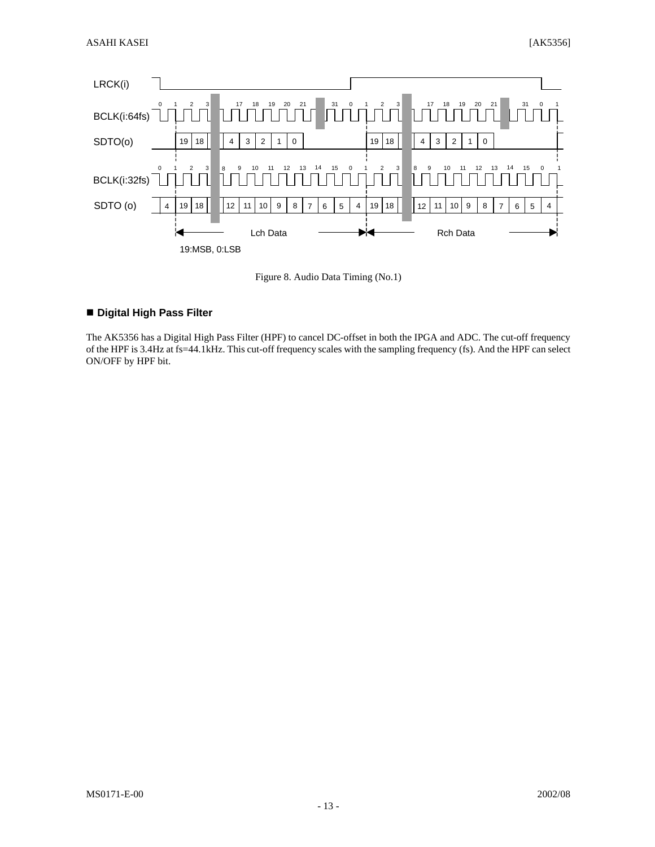

Figure 8. Audio Data Timing (No.1)

#### ■ Digital High Pass Filter

The AK5356 has a Digital High Pass Filter (HPF) to cancel DC-offset in both the IPGA and ADC. The cut-off frequency of the HPF is 3.4Hz at fs=44.1kHz. This cut-off frequency scales with the sampling frequency (fs). And the HPF can select ON/OFF by HPF bit.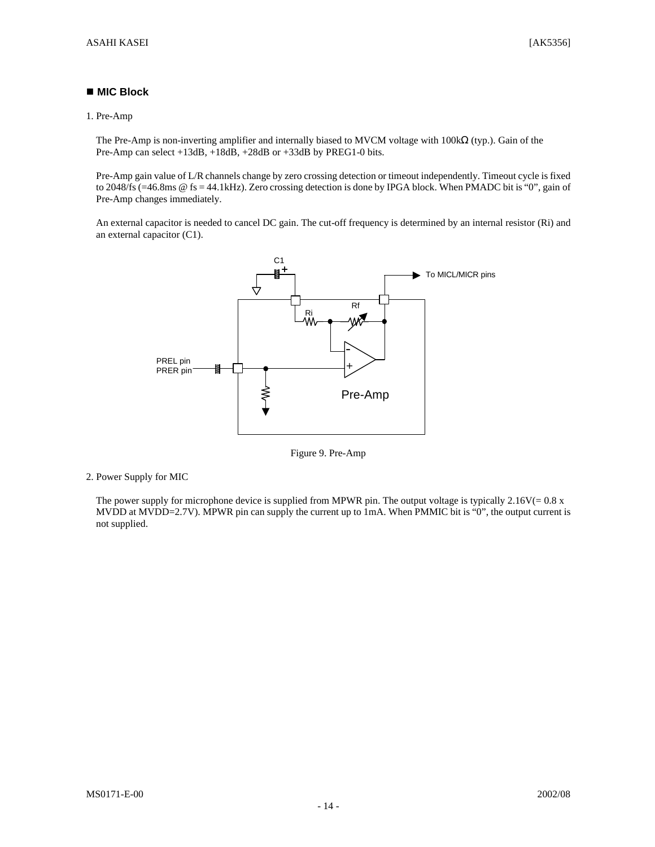#### ■ MIC Block

#### 1. Pre-Amp

The Pre-Amp is non-inverting amplifier and internally biased to MVCM voltage with 100kΩ (typ.). Gain of the Pre-Amp can select +13dB, +18dB, +28dB or +33dB by PREG1-0 bits.

Pre-Amp gain value of L/R channels change by zero crossing detection or timeout independently. Timeout cycle is fixed to 2048/fs (=46.8ms @ fs = 44.1kHz). Zero crossing detection is done by IPGA block. When PMADC bit is "0", gain of Pre-Amp changes immediately.

An external capacitor is needed to cancel DC gain. The cut-off frequency is determined by an internal resistor (Ri) and an external capacitor (C1).



Figure 9. Pre-Amp

2. Power Supply for MIC

The power supply for microphone device is supplied from MPWR pin. The output voltage is typically  $2.16V(= 0.8 x)$ MVDD at MVDD=2.7V). MPWR pin can supply the current up to 1mA. When PMMIC bit is "0", the output current is not supplied.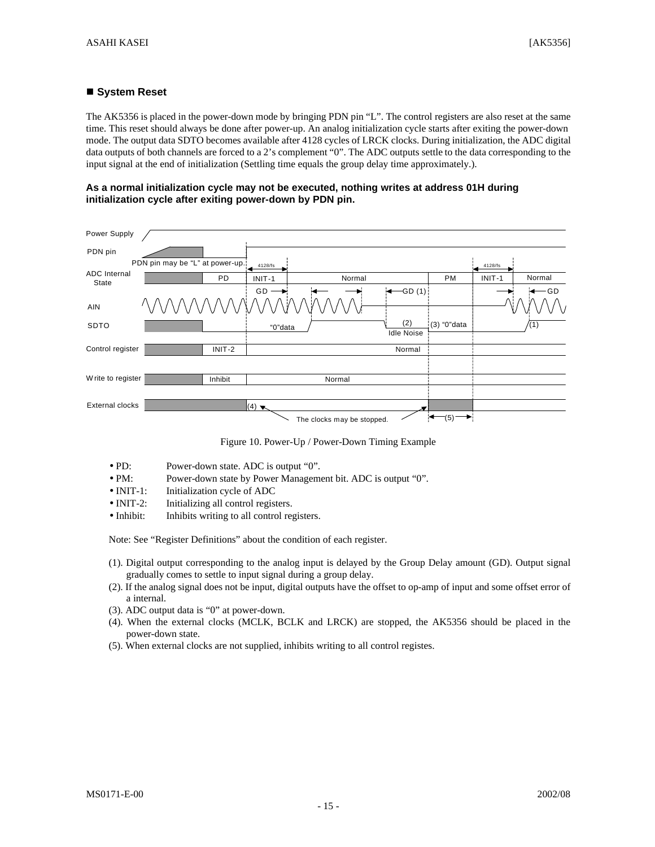#### ■ System Reset

The AK5356 is placed in the power-down mode by bringing PDN pin "L". The control registers are also reset at the same time. This reset should always be done after power-up. An analog initialization cycle starts after exiting the power-down mode. The output data SDTO becomes available after 4128 cycles of LRCK clocks. During initialization, the ADC digital data outputs of both channels are forced to a 2's complement "0". The ADC outputs settle to the data corresponding to the input signal at the end of initialization (Settling time equals the group delay time approximately.).

**As a normal initialization cycle may not be executed, nothing writes at address 01H during initialization cycle after exiting power-down by PDN pin.**

| Power Supply                 |                                 |                             |                            |                    |              |         |        |
|------------------------------|---------------------------------|-----------------------------|----------------------------|--------------------|--------------|---------|--------|
| PDN pin                      |                                 |                             |                            |                    |              |         |        |
|                              | PDN pin may be "L" at power-up. | 4128/fs                     |                            |                    |              | 4128/fs |        |
| <b>ADC</b> Internal<br>State | PD.                             | INIT-1                      | Normal                     |                    | <b>PM</b>    | INIT-1  | Normal |
|                              |                                 | GD                          |                            | $\leftarrow$ GD(1) |              |         | -GD    |
| <b>AIN</b>                   | 'WW                             |                             |                            |                    |              |         |        |
| SDTO                         |                                 | "0"data                     |                            | (2)                | (3) "0" data |         | (1)    |
|                              |                                 |                             |                            | <b>Idle Noise</b>  |              |         |        |
| Control register             | INIT-2                          |                             |                            | Normal             |              |         |        |
|                              |                                 |                             |                            |                    |              |         |        |
| Write to register            | Inhibit                         |                             | Normal                     |                    |              |         |        |
|                              |                                 |                             |                            |                    |              |         |        |
| External clocks              |                                 | $(4)$ $\blacktriangleright$ |                            |                    |              |         |        |
|                              |                                 |                             | The clocks may be stopped. |                    | -(5)         |         |        |

Figure 10. Power-Up / Power-Down Timing Example

- PD: Power-down state. ADC is output "0".
- PM: Power-down state by Power Management bit. ADC is output "0".
- INIT-1: Initialization cycle of ADC
- INIT-2: Initializing all control registers.
- Inhibit: Inhibits writing to all control registers.

Note: See "Register Definitions" about the condition of each register.

- (1). Digital output corresponding to the analog input is delayed by the Group Delay amount (GD). Output signal gradually comes to settle to input signal during a group delay.
- (2). If the analog signal does not be input, digital outputs have the offset to op-amp of input and some offset error of a internal.
- (3). ADC output data is "0" at power-down.
- (4). When the external clocks (MCLK, BCLK and LRCK) are stopped, the AK5356 should be placed in the power-down state.
- (5). When external clocks are not supplied, inhibits writing to all control registes.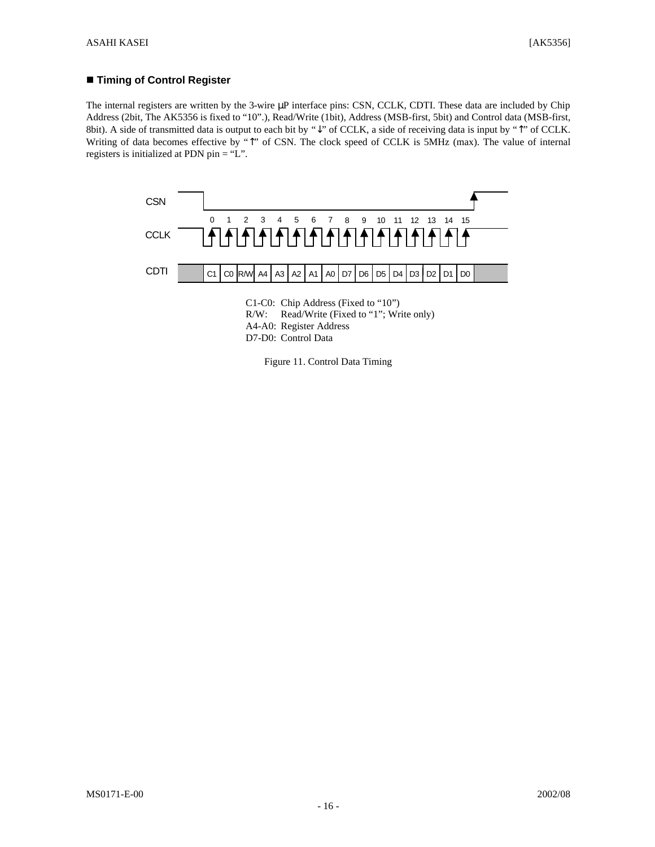#### ■ Timing of Control Register

The internal registers are written by the 3-wire μP interface pins: CSN, CCLK, CDTI. These data are included by Chip Address (2bit, The AK5356 is fixed to "10".), Read/Write (1bit), Address (MSB-first, 5bit) and Control data (MSB-first, 8bit). A side of transmitted data is output to each bit by "↓" of CCLK, a side of receiving data is input by "↑" of CCLK. Writing of data becomes effective by "↑" of CSN. The clock speed of CCLK is 5MHz (max). The value of internal registers is initialized at PDN pin = "L".



Figure 11. Control Data Timing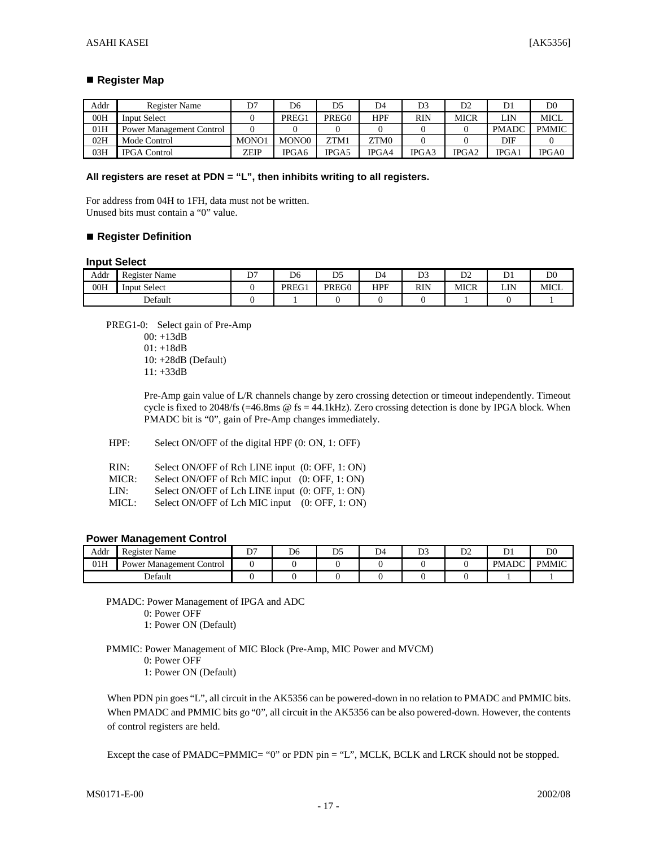#### ■ Register Map

| Addr | Register Name                   | D7    | D6    |       | D4    | D <sub>3</sub> | D <sub>2</sub> | D1           | D <sub>0</sub> |
|------|---------------------------------|-------|-------|-------|-------|----------------|----------------|--------------|----------------|
| 00H  | <b>Input Select</b>             |       | PREG1 | PREG0 | HPF   | RIN            | MICR           | LIN          | MICL           |
| 01H  | <b>Power Management Control</b> |       |       |       |       |                |                | <b>PMADC</b> | <b>PMMIC</b>   |
| 02H  | Mode Control                    | MONO1 | MONO0 | ZTM1  | ZTM0  |                |                | DIF          |                |
| 03H  | <b>IPGA Control</b>             | ZEIP  | IPGA6 | IPGA5 | IPGA4 | IPGA3          | IPGA2          | IPGA1        | IPGA0          |

#### **All registers are reset at PDN = "L", then inhibits writing to all registers.**

For address from 04H to 1FH, data must not be written. Unused bits must contain a "0" value.

#### ■ Register Definition

#### **Input Select**

| Addr | Register Name   | D <sub>7</sub><br>◡ | D6    | $\mathbf{r}$<br>ມ | D4         | $\mathbf{a}$<br>υJ | D.<br>ມ∠ | ້∙   | D <sub>0</sub> |
|------|-----------------|---------------------|-------|-------------------|------------|--------------------|----------|------|----------------|
| 00H  | Select<br>Input |                     | PREG1 | PREG0             | <b>HPF</b> | RIN                | MICR     | LIN. | MICL           |
|      | Default         |                     |       |                   |            |                    |          |      |                |

PREG1-0: Select gain of Pre-Amp

00: +13dB  $01: +18dB$ 10: +28dB (Default) 11: +33dB

Pre-Amp gain value of L/R channels change by zero crossing detection or timeout independently. Timeout cycle is fixed to 2048/fs (=46.8ms @ fs = 44.1kHz). Zero crossing detection is done by IPGA block. When PMADC bit is "0", gain of Pre-Amp changes immediately.

HPF: Select ON/OFF of the digital HPF (0: ON, 1: OFF)

| RIN:  | Select ON/OFF of Rch LINE input (0: OFF, 1: ON) |  |
|-------|-------------------------------------------------|--|
| MICR: | Select ON/OFF of Rch MIC input (0: OFF, 1: ON)  |  |
| LIN:  | Select ON/OFF of Lch LINE input (0: OFF, 1: ON) |  |
| MICL: | Select ON/OFF of Lch MIC input (0: OFF, 1: ON)  |  |

#### **Power Management Control**

|         | . .                                      |                |    |             |    |                    |          |              |                |
|---------|------------------------------------------|----------------|----|-------------|----|--------------------|----------|--------------|----------------|
| Addr    | Register Name                            | D <sub>7</sub> | D6 | $\sim$<br>້ | D4 | $\mathbf{a}$<br>DΔ | D.<br>υ∠ | DΙ           | D <sub>0</sub> |
| 01H     | $\sim$<br>Management<br>Control<br>Power |                |    |             |    |                    |          | <b>PMADC</b> | <b>PMMIC</b>   |
| Default |                                          |                |    |             |    |                    |          |              |                |

PMADC: Power Management of IPGA and ADC

0: Power OFF

1: Power ON (Default)

PMMIC: Power Management of MIC Block (Pre-Amp, MIC Power and MVCM)

0: Power OFF

1: Power ON (Default)

When PDN pin goes "L", all circuit in the AK5356 can be powered-down in no relation to PMADC and PMMIC bits. When PMADC and PMMIC bits go "0", all circuit in the AK5356 can be also powered-down. However, the contents of control registers are held.

Except the case of PMADC=PMMIC= "0" or PDN pin = "L", MCLK, BCLK and LRCK should not be stopped.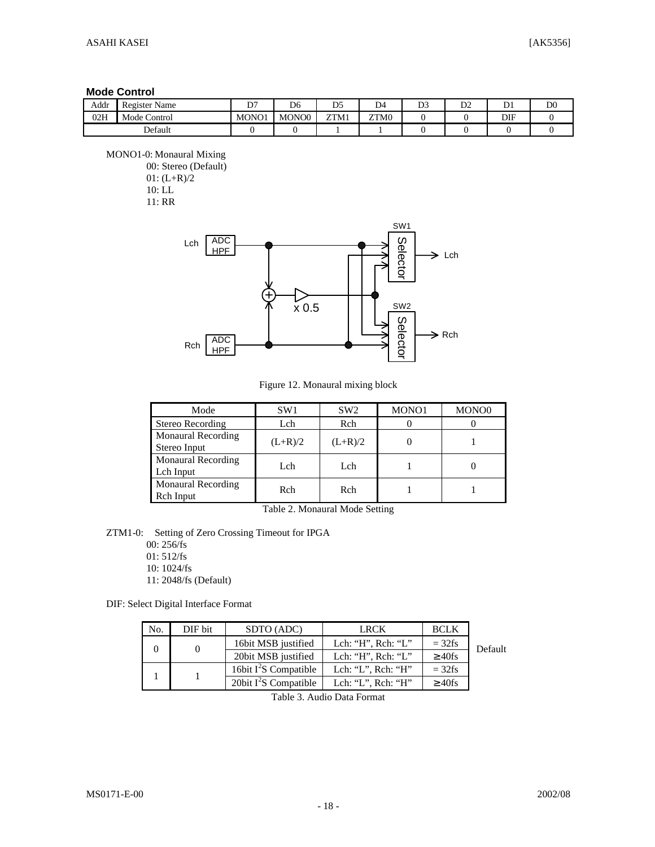#### **Mode Control**

| Addr | Register Name | $n -$<br>◡ | D <sub>6</sub>    | $\mathbf{D}$<br>້ | D4   | $\mathbf{D}$<br>υJ | D.<br>∠ע | ້∙  | D <sub>0</sub> |
|------|---------------|------------|-------------------|-------------------|------|--------------------|----------|-----|----------------|
| 02H  | Mode Control  | MONO1      | MONO <sub>0</sub> | ZTM1              | ZTM0 |                    |          | DIF |                |
|      | Default       |            |                   |                   |      |                    |          |     |                |

MONO1-0: Monaural Mixing

00: Stereo (Default) 01: (L+R)/2 10: LL

11: RR



Figure 12. Monaural mixing block

| Mode                                      | SW <sub>1</sub> | SW <sub>2</sub> | MONO1 | MONO <sub>0</sub> |
|-------------------------------------------|-----------------|-----------------|-------|-------------------|
| Stereo Recording                          | Lch             | Rch             |       |                   |
| <b>Monaural Recording</b><br>Stereo Input | $(L+R)/2$       | $(L+R)/2$       |       |                   |
| <b>Monaural Recording</b><br>Lch Input    | Lch             | Lch             |       |                   |
| <b>Monaural Recording</b><br>Rch Input    | Rch             | Rch             |       |                   |

Table 2. Monaural Mode Setting

ZTM1-0: Setting of Zero Crossing Timeout for IPGA

00: 256/fs 01: 512/fs 10: 1024/fs

11: 2048/fs (Default)

DIF: Select Digital Interface Format

| No. | DIF bit | SDTO (ADC)              | <b>LRCK</b>                | <b>BCLK</b>  |         |
|-----|---------|-------------------------|----------------------------|--------------|---------|
|     |         | 16bit MSB justified     | Lch: "H", $Rch:$ "L"       | $=$ 32fs     | Default |
|     |         | 20bit MSB justified     | Lch: " $H$ ", Rch: " $L$ " | $\geq 40$ fs |         |
|     |         | 16bit $I^2S$ Compatible | Lch: "L", Rch: "H"         | $=$ 32fs     |         |
|     |         | 20bit $I^2S$ Compatible | Lch: "L", Rch: "H"         | $\geq 40$ fs |         |

Table 3. Audio Data Format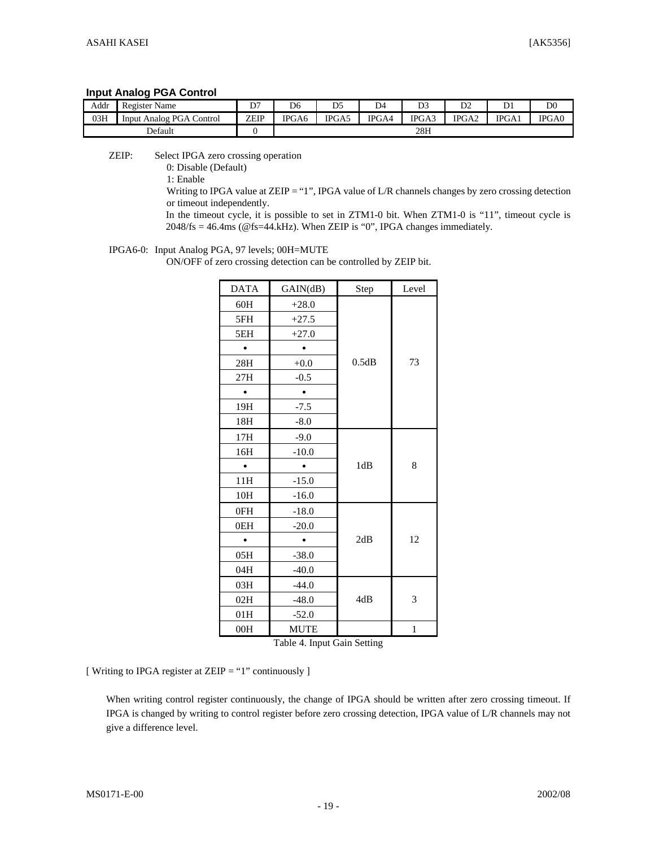#### **Input Analog PGA Control**

| Addr    | $\mathbf{r}$<br>Register Name  | D7   | D <sub>6</sub> | D <sub>5</sub> | D4    | D <sub>3</sub> | D <sub>2</sub> | $\sqrt{ }$ | D <sub>0</sub> |
|---------|--------------------------------|------|----------------|----------------|-------|----------------|----------------|------------|----------------|
| 03H     | PGA Control<br>Analog<br>Input | ZEIP | IPGA6          | IPGA5          | IPGA4 | IPGA3          | IPGA2          | IPGA1      | IPGA0          |
| Default |                                |      |                |                |       | 28H            |                |            |                |

ZEIP: Select IPGA zero crossing operation

0: Disable (Default)

1: Enable

Writing to IPGA value at ZEIP = "1", IPGA value of L/R channels changes by zero crossing detection or timeout independently.

In the timeout cycle, it is possible to set in ZTM1-0 bit. When ZTM1-0 is "11", timeout cycle is 2048/fs = 46.4ms (@fs=44.kHz). When ZEIP is "0", IPGA changes immediately.

#### IPGA6-0: Input Analog PGA, 97 levels; 00H=MUTE

ON/OFF of zero crossing detection can be controlled by ZEIP bit.

| <b>DATA</b> | GAIN(dB)    | Step  | Level |  |  |  |
|-------------|-------------|-------|-------|--|--|--|
| 60H         | $+28.0$     |       |       |  |  |  |
| 5FH         | $+27.5$     |       |       |  |  |  |
| 5EH         | $+27.0$     |       |       |  |  |  |
|             |             |       |       |  |  |  |
| 28H         | $+0.0$      | 0.5dB | 73    |  |  |  |
| 27H         | $-0.5$      |       |       |  |  |  |
|             |             |       |       |  |  |  |
| 19H         | $-7.5$      |       |       |  |  |  |
| 18H         | $-8.0$      |       |       |  |  |  |
| 17H         | $-9.0$      |       |       |  |  |  |
| 16H         | $-10.0$     |       |       |  |  |  |
|             |             | 1dB   | 8     |  |  |  |
| 11H         | $-15.0$     |       |       |  |  |  |
| 10H         | $-16.0$     |       |       |  |  |  |
| 0FH         | $-18.0$     |       |       |  |  |  |
| 0EH         | $-20.0$     |       |       |  |  |  |
| $\bullet$   |             | 2dB   | 12    |  |  |  |
| 05H         | $-38.0$     |       |       |  |  |  |
| 04H         | $-40.0$     |       |       |  |  |  |
| 03H         | $-44.0$     |       |       |  |  |  |
| 02H         | $-48.0$     | 4dB   | 3     |  |  |  |
| 01H         | $-52.0$     |       |       |  |  |  |
| 00H         | <b>MUTE</b> |       | 1     |  |  |  |

Table 4. Input Gain Setting

[ Writing to IPGA register at ZEIP = "1" continuously ]

When writing control register continuously, the change of IPGA should be written after zero crossing timeout. If IPGA is changed by writing to control register before zero crossing detection, IPGA value of L/R channels may not give a difference level.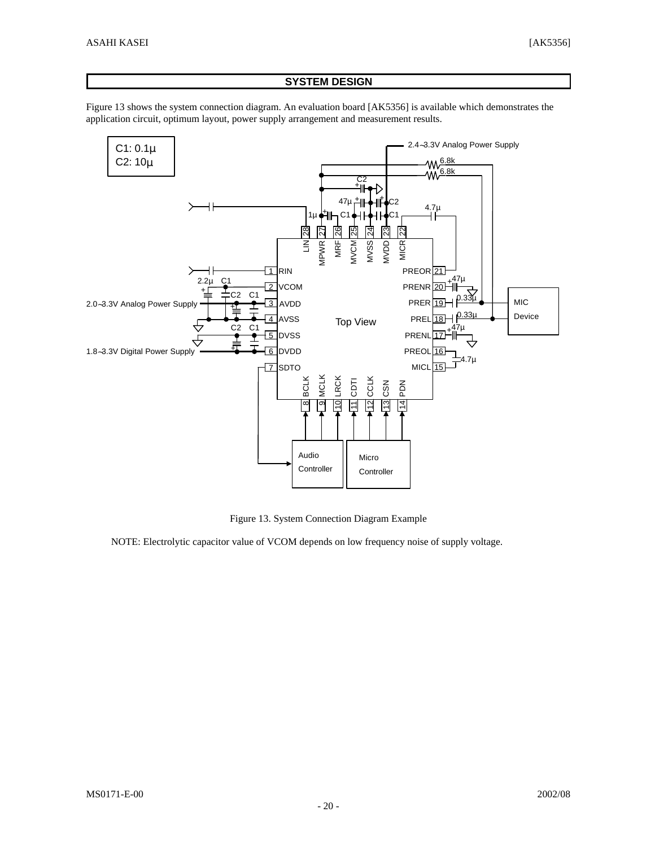#### **SYSTEM DESIGN**

Figure 13 shows the system connection diagram. An evaluation board [AK5356] is available which demonstrates the application circuit, optimum layout, power supply arrangement and measurement results.



Figure 13. System Connection Diagram Example

NOTE: Electrolytic capacitor value of VCOM depends on low frequency noise of supply voltage.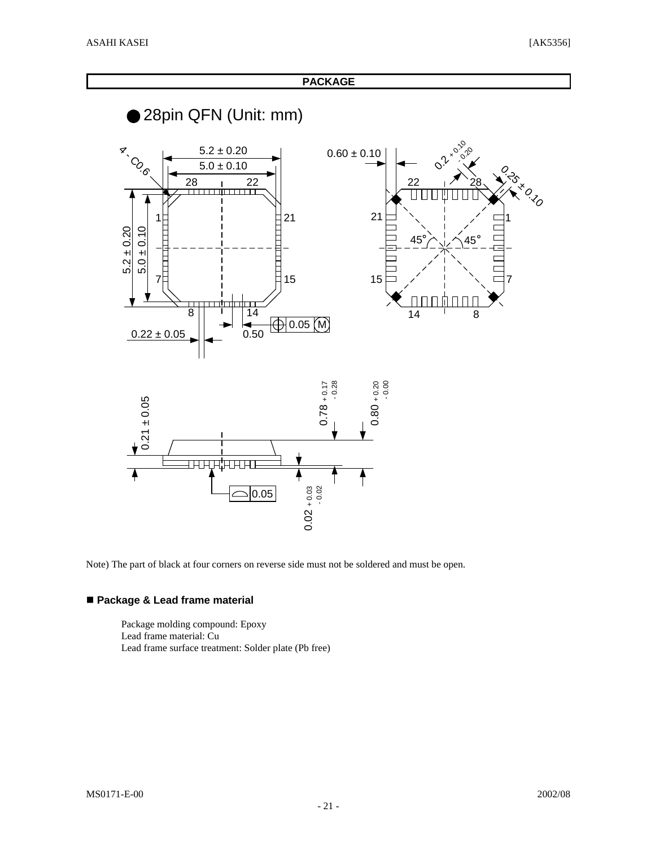26.26

7

**PACKAGE**

28pin QFN (Unit: mm) **0.2** x 0.20 **x** COCO 5.0 ± 0.10 0.2 + 0.10  $5.2 \pm 0.20$  $0.60\pm0.10$  $\begin{array}{c|c}\n 28 & \cdots & 22 \\
\hline\n \end{array}$ 22 28  $\prod$  $\Box$ 21 21 1 1  $5.2 \pm 0.20$  $5.0 \pm 0.10$  $45^{\circ}$   $\sim$   $\sim$   $45^{\circ}$ È 15 15 7 חר 8 14  $14$   $8$  $\bigoplus$  0.05  $\bigotimes$  $0.22 \pm 0.05$  0.50



Note) The part of black at four corners on reverse side must not be soldered and must be open.

#### n **Package & Lead frame material**

Package molding compound: Epoxy Lead frame material: Cu Lead frame surface treatment: Solder plate (Pb free)